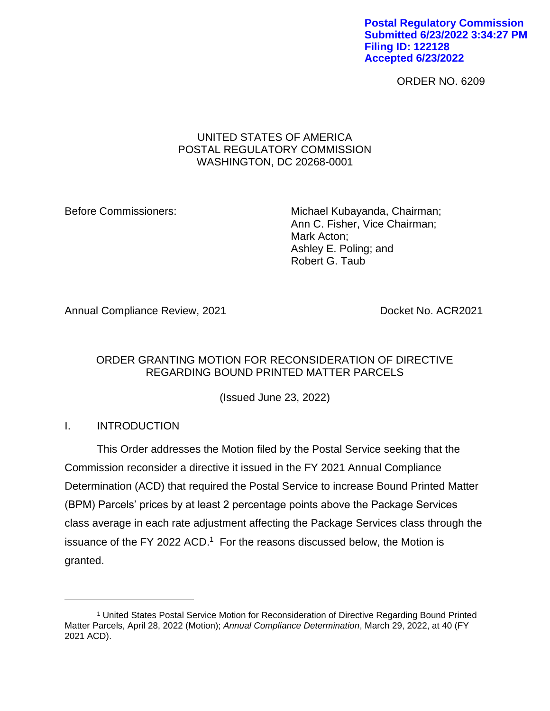**Postal Regulatory Commission Submitted 6/23/2022 3:34:27 PM Filing ID: 122128 Accepted 6/23/2022**

ORDER NO. 6209

## UNITED STATES OF AMERICA POSTAL REGULATORY COMMISSION WASHINGTON, DC 20268-0001

Before Commissioners: Michael Kubayanda, Chairman; Ann C. Fisher, Vice Chairman; Mark Acton; Ashley E. Poling; and Robert G. Taub

Annual Compliance Review, 2021 **Docket No. ACR2021** 

# ORDER GRANTING MOTION FOR RECONSIDERATION OF DIRECTIVE REGARDING BOUND PRINTED MATTER PARCELS

(Issued June 23, 2022)

# I. INTRODUCTION

This Order addresses the Motion filed by the Postal Service seeking that the Commission reconsider a directive it issued in the FY 2021 Annual Compliance Determination (ACD) that required the Postal Service to increase Bound Printed Matter (BPM) Parcels' prices by at least 2 percentage points above the Package Services class average in each rate adjustment affecting the Package Services class through the issuance of the FY 2022 ACD.<sup>1</sup> For the reasons discussed below, the Motion is granted.

<sup>1</sup> United States Postal Service Motion for Reconsideration of Directive Regarding Bound Printed Matter Parcels, April 28, 2022 (Motion); *Annual Compliance Determination*, March 29, 2022, at 40 (FY 2021 ACD).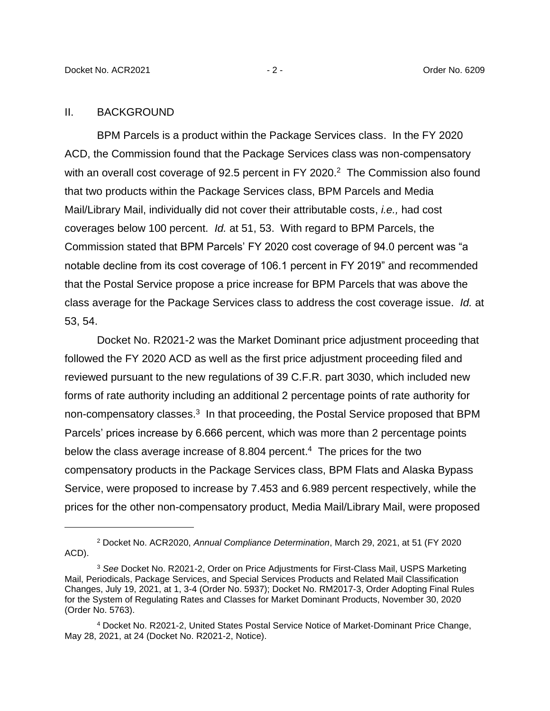#### II. BACKGROUND

BPM Parcels is a product within the Package Services class. In the FY 2020 ACD, the Commission found that the Package Services class was non-compensatory with an overall cost coverage of 92.5 percent in FY 2020.<sup>2</sup> The Commission also found that two products within the Package Services class, BPM Parcels and Media Mail/Library Mail, individually did not cover their attributable costs, *i.e.,* had cost coverages below 100 percent. *Id.* at 51, 53. With regard to BPM Parcels, the Commission stated that BPM Parcels' FY 2020 cost coverage of 94.0 percent was "a notable decline from its cost coverage of 106.1 percent in FY 2019" and recommended that the Postal Service propose a price increase for BPM Parcels that was above the class average for the Package Services class to address the cost coverage issue. *Id.* at 53, 54.

Docket No. R2021-2 was the Market Dominant price adjustment proceeding that followed the FY 2020 ACD as well as the first price adjustment proceeding filed and reviewed pursuant to the new regulations of 39 C.F.R. part 3030, which included new forms of rate authority including an additional 2 percentage points of rate authority for non-compensatory classes.<sup>3</sup> In that proceeding, the Postal Service proposed that BPM Parcels' prices increase by 6.666 percent, which was more than 2 percentage points below the class average increase of 8.804 percent.<sup>4</sup> The prices for the two compensatory products in the Package Services class, BPM Flats and Alaska Bypass Service, were proposed to increase by 7.453 and 6.989 percent respectively, while the prices for the other non-compensatory product, Media Mail/Library Mail, were proposed

<sup>2</sup> Docket No. ACR2020, *Annual Compliance Determination*, March 29, 2021, at 51 (FY 2020 ACD).

<sup>3</sup> *See* Docket No. R2021-2, Order on Price Adjustments for First-Class Mail, USPS Marketing Mail, Periodicals, Package Services, and Special Services Products and Related Mail Classification Changes, July 19, 2021, at 1, 3-4 (Order No. 5937); Docket No. RM2017-3, Order Adopting Final Rules for the System of Regulating Rates and Classes for Market Dominant Products, November 30, 2020 (Order No. 5763).

<sup>4</sup> Docket No. R2021-2, United States Postal Service Notice of Market-Dominant Price Change, May 28, 2021, at 24 (Docket No. R2021-2, Notice).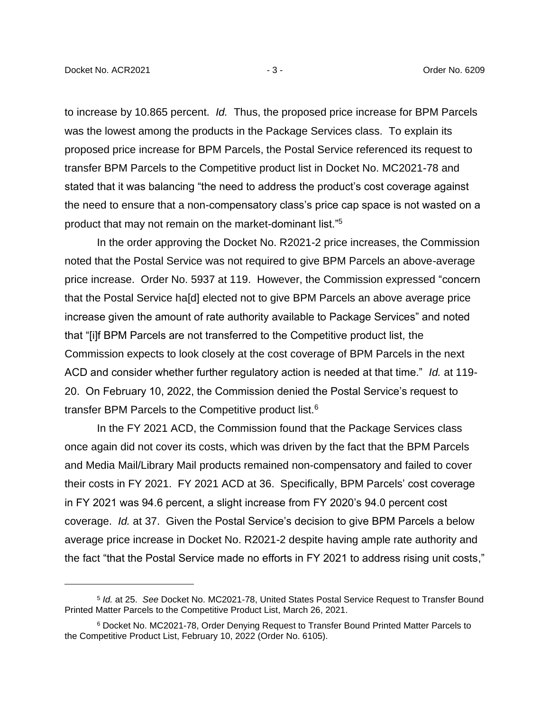to increase by 10.865 percent. *Id.* Thus, the proposed price increase for BPM Parcels was the lowest among the products in the Package Services class. To explain its proposed price increase for BPM Parcels, the Postal Service referenced its request to transfer BPM Parcels to the Competitive product list in Docket No. MC2021-78 and stated that it was balancing "the need to address the product's cost coverage against the need to ensure that a non-compensatory class's price cap space is not wasted on a product that may not remain on the market-dominant list."<sup>5</sup>

In the order approving the Docket No. R2021-2 price increases, the Commission noted that the Postal Service was not required to give BPM Parcels an above-average price increase. Order No. 5937 at 119. However, the Commission expressed "concern that the Postal Service ha[d] elected not to give BPM Parcels an above average price increase given the amount of rate authority available to Package Services" and noted that "[i]f BPM Parcels are not transferred to the Competitive product list, the Commission expects to look closely at the cost coverage of BPM Parcels in the next ACD and consider whether further regulatory action is needed at that time." *Id.* at 119- 20. On February 10, 2022, the Commission denied the Postal Service's request to transfer BPM Parcels to the Competitive product list.<sup>6</sup>

In the FY 2021 ACD, the Commission found that the Package Services class once again did not cover its costs, which was driven by the fact that the BPM Parcels and Media Mail/Library Mail products remained non-compensatory and failed to cover their costs in FY 2021. FY 2021 ACD at 36. Specifically, BPM Parcels' cost coverage in FY 2021 was 94.6 percent, a slight increase from FY 2020's 94.0 percent cost coverage. *Id.* at 37. Given the Postal Service's decision to give BPM Parcels a below average price increase in Docket No. R2021-2 despite having ample rate authority and the fact "that the Postal Service made no efforts in FY 2021 to address rising unit costs,"

<sup>5</sup> *Id.* at 25. *See* Docket No. MC2021-78, United States Postal Service Request to Transfer Bound Printed Matter Parcels to the Competitive Product List, March 26, 2021.

<sup>6</sup> Docket No. MC2021-78, Order Denying Request to Transfer Bound Printed Matter Parcels to the Competitive Product List, February 10, 2022 (Order No. 6105).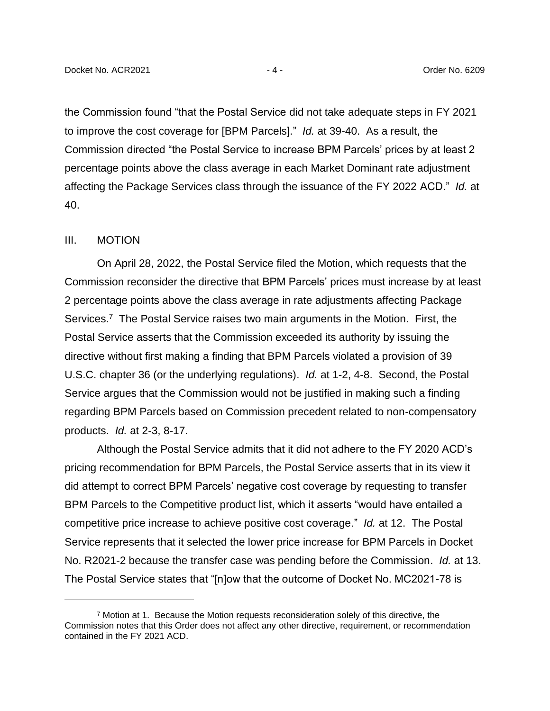the Commission found "that the Postal Service did not take adequate steps in FY 2021 to improve the cost coverage for [BPM Parcels]." *Id.* at 39-40. As a result, the Commission directed "the Postal Service to increase BPM Parcels' prices by at least 2 percentage points above the class average in each Market Dominant rate adjustment affecting the Package Services class through the issuance of the FY 2022 ACD." *Id.* at 40.

#### III. MOTION

On April 28, 2022, the Postal Service filed the Motion, which requests that the Commission reconsider the directive that BPM Parcels' prices must increase by at least 2 percentage points above the class average in rate adjustments affecting Package Services.<sup>7</sup> The Postal Service raises two main arguments in the Motion. First, the Postal Service asserts that the Commission exceeded its authority by issuing the directive without first making a finding that BPM Parcels violated a provision of 39 U.S.C. chapter 36 (or the underlying regulations). *Id.* at 1-2, 4-8. Second, the Postal Service argues that the Commission would not be justified in making such a finding regarding BPM Parcels based on Commission precedent related to non-compensatory products. *Id.* at 2-3, 8-17.

Although the Postal Service admits that it did not adhere to the FY 2020 ACD's pricing recommendation for BPM Parcels, the Postal Service asserts that in its view it did attempt to correct BPM Parcels' negative cost coverage by requesting to transfer BPM Parcels to the Competitive product list, which it asserts "would have entailed a competitive price increase to achieve positive cost coverage." *Id.* at 12. The Postal Service represents that it selected the lower price increase for BPM Parcels in Docket No. R2021-2 because the transfer case was pending before the Commission. *Id.* at 13. The Postal Service states that "[n]ow that the outcome of Docket No. MC2021-78 is

 $7$  Motion at 1. Because the Motion requests reconsideration solely of this directive, the Commission notes that this Order does not affect any other directive, requirement, or recommendation contained in the FY 2021 ACD.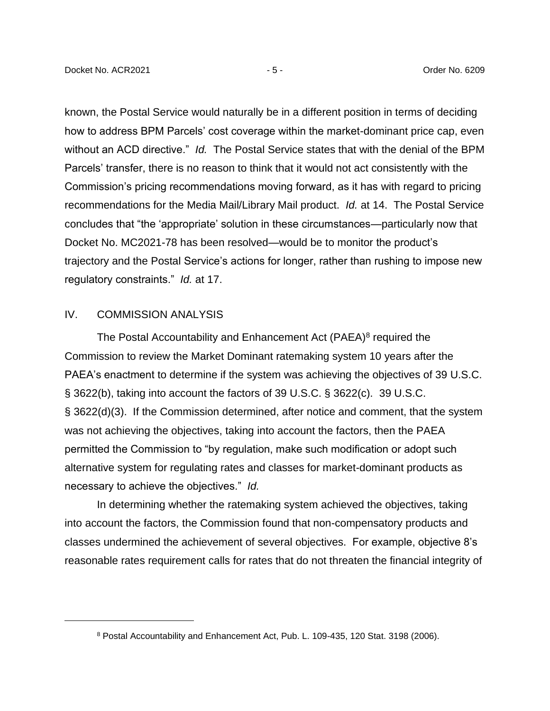known, the Postal Service would naturally be in a different position in terms of deciding how to address BPM Parcels' cost coverage within the market-dominant price cap, even without an ACD directive." *Id.* The Postal Service states that with the denial of the BPM Parcels' transfer, there is no reason to think that it would not act consistently with the Commission's pricing recommendations moving forward, as it has with regard to pricing recommendations for the Media Mail/Library Mail product. *Id.* at 14. The Postal Service concludes that "the 'appropriate' solution in these circumstances—particularly now that Docket No. MC2021-78 has been resolved—would be to monitor the product's trajectory and the Postal Service's actions for longer, rather than rushing to impose new regulatory constraints." *Id.* at 17.

### IV. COMMISSION ANALYSIS

The Postal Accountability and Enhancement Act (PAEA)<sup>8</sup> required the Commission to review the Market Dominant ratemaking system 10 years after the PAEA's enactment to determine if the system was achieving the objectives of 39 U.S.C. § 3622(b), taking into account the factors of 39 U.S.C. § 3622(c). 39 U.S.C. § 3622(d)(3). If the Commission determined, after notice and comment, that the system was not achieving the objectives, taking into account the factors, then the PAEA permitted the Commission to "by regulation, make such modification or adopt such alternative system for regulating rates and classes for market-dominant products as necessary to achieve the objectives." *Id.*

In determining whether the ratemaking system achieved the objectives, taking into account the factors, the Commission found that non-compensatory products and classes undermined the achievement of several objectives. For example, objective 8's reasonable rates requirement calls for rates that do not threaten the financial integrity of

<sup>8</sup> Postal Accountability and Enhancement Act, Pub. L. 109-435, 120 Stat. 3198 (2006).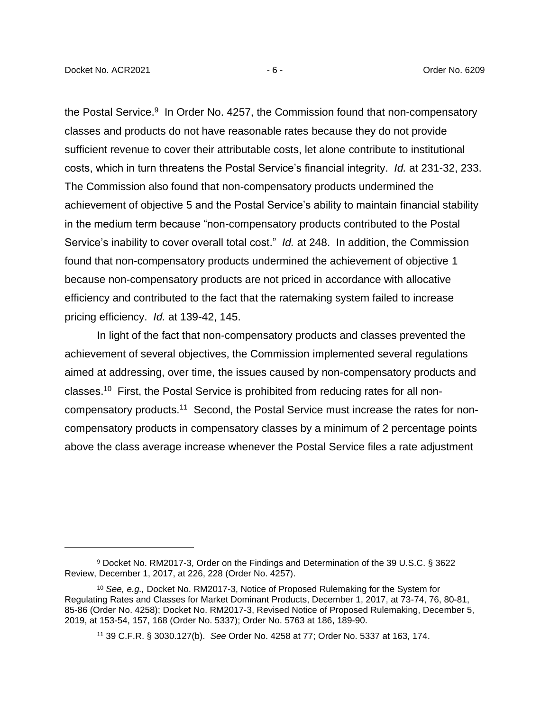the Postal Service.<sup>9</sup> In Order No. 4257, the Commission found that non-compensatory classes and products do not have reasonable rates because they do not provide sufficient revenue to cover their attributable costs, let alone contribute to institutional costs, which in turn threatens the Postal Service's financial integrity. *Id.* at 231-32, 233. The Commission also found that non-compensatory products undermined the achievement of objective 5 and the Postal Service's ability to maintain financial stability in the medium term because "non-compensatory products contributed to the Postal Service's inability to cover overall total cost." *Id.* at 248. In addition, the Commission found that non-compensatory products undermined the achievement of objective 1 because non-compensatory products are not priced in accordance with allocative efficiency and contributed to the fact that the ratemaking system failed to increase pricing efficiency. *Id.* at 139-42, 145.

In light of the fact that non-compensatory products and classes prevented the achievement of several objectives, the Commission implemented several regulations aimed at addressing, over time, the issues caused by non-compensatory products and classes.<sup>10</sup> First, the Postal Service is prohibited from reducing rates for all noncompensatory products.<sup>11</sup> Second, the Postal Service must increase the rates for noncompensatory products in compensatory classes by a minimum of 2 percentage points above the class average increase whenever the Postal Service files a rate adjustment

<sup>9</sup> Docket No. RM2017-3, Order on the Findings and Determination of the 39 U.S.C. § 3622 Review, December 1, 2017, at 226, 228 (Order No. 4257).

<sup>10</sup> *See, e.g.,* Docket No. RM2017-3, Notice of Proposed Rulemaking for the System for Regulating Rates and Classes for Market Dominant Products, December 1, 2017, at 73-74, 76, 80-81, 85-86 (Order No. 4258); Docket No. RM2017-3, Revised Notice of Proposed Rulemaking, December 5, 2019, at 153-54, 157, 168 (Order No. 5337); Order No. 5763 at 186, 189-90.

<sup>11</sup> 39 C.F.R. § 3030.127(b). *See* Order No. 4258 at 77; Order No. 5337 at 163, 174.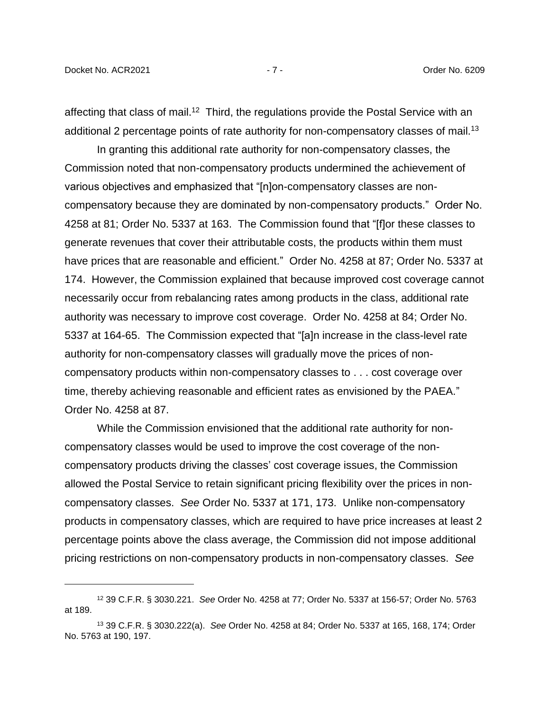affecting that class of mail.<sup>12</sup> Third, the regulations provide the Postal Service with an additional 2 percentage points of rate authority for non-compensatory classes of mail.<sup>13</sup>

In granting this additional rate authority for non-compensatory classes, the Commission noted that non-compensatory products undermined the achievement of various objectives and emphasized that "[n]on-compensatory classes are noncompensatory because they are dominated by non-compensatory products." Order No. 4258 at 81; Order No. 5337 at 163. The Commission found that "[f]or these classes to generate revenues that cover their attributable costs, the products within them must have prices that are reasonable and efficient." Order No. 4258 at 87; Order No. 5337 at 174. However, the Commission explained that because improved cost coverage cannot necessarily occur from rebalancing rates among products in the class, additional rate authority was necessary to improve cost coverage. Order No. 4258 at 84; Order No. 5337 at 164-65. The Commission expected that "[a]n increase in the class-level rate authority for non-compensatory classes will gradually move the prices of noncompensatory products within non-compensatory classes to . . . cost coverage over time, thereby achieving reasonable and efficient rates as envisioned by the PAEA." Order No. 4258 at 87.

While the Commission envisioned that the additional rate authority for noncompensatory classes would be used to improve the cost coverage of the noncompensatory products driving the classes' cost coverage issues, the Commission allowed the Postal Service to retain significant pricing flexibility over the prices in noncompensatory classes. *See* Order No. 5337 at 171, 173. Unlike non-compensatory products in compensatory classes, which are required to have price increases at least 2 percentage points above the class average, the Commission did not impose additional pricing restrictions on non-compensatory products in non-compensatory classes. *See* 

<sup>12</sup> 39 C.F.R. § 3030.221. *See* Order No. 4258 at 77; Order No. 5337 at 156-57; Order No. 5763 at 189.

<sup>13</sup> 39 C.F.R. § 3030.222(a). *See* Order No. 4258 at 84; Order No. 5337 at 165, 168, 174; Order No. 5763 at 190, 197.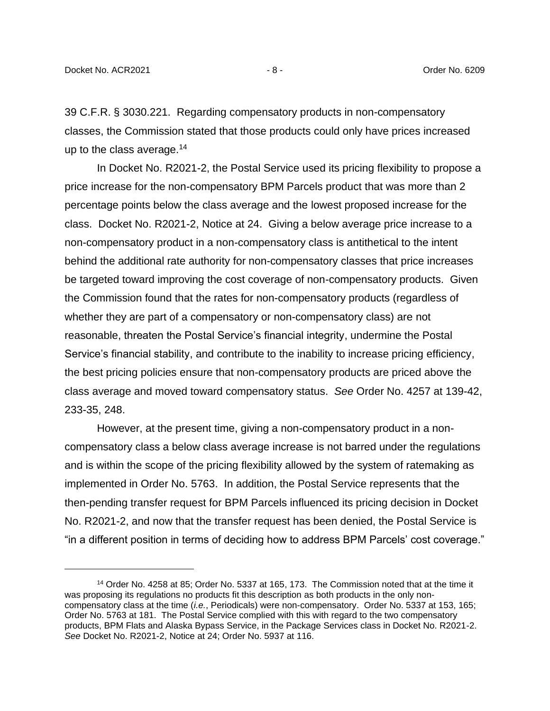39 C.F.R. § 3030.221. Regarding compensatory products in non-compensatory classes, the Commission stated that those products could only have prices increased up to the class average.<sup>14</sup>

In Docket No. R2021-2, the Postal Service used its pricing flexibility to propose a price increase for the non-compensatory BPM Parcels product that was more than 2 percentage points below the class average and the lowest proposed increase for the class. Docket No. R2021-2, Notice at 24. Giving a below average price increase to a non-compensatory product in a non-compensatory class is antithetical to the intent behind the additional rate authority for non-compensatory classes that price increases be targeted toward improving the cost coverage of non-compensatory products. Given the Commission found that the rates for non-compensatory products (regardless of whether they are part of a compensatory or non-compensatory class) are not reasonable, threaten the Postal Service's financial integrity, undermine the Postal Service's financial stability, and contribute to the inability to increase pricing efficiency, the best pricing policies ensure that non-compensatory products are priced above the class average and moved toward compensatory status. *See* Order No. 4257 at 139-42, 233-35, 248.

However, at the present time, giving a non-compensatory product in a noncompensatory class a below class average increase is not barred under the regulations and is within the scope of the pricing flexibility allowed by the system of ratemaking as implemented in Order No. 5763. In addition, the Postal Service represents that the then-pending transfer request for BPM Parcels influenced its pricing decision in Docket No. R2021-2, and now that the transfer request has been denied, the Postal Service is "in a different position in terms of deciding how to address BPM Parcels' cost coverage."

<sup>14</sup> Order No. 4258 at 85; Order No. 5337 at 165, 173. The Commission noted that at the time it was proposing its regulations no products fit this description as both products in the only noncompensatory class at the time (*i.e.*, Periodicals) were non-compensatory. Order No. 5337 at 153, 165; Order No. 5763 at 181. The Postal Service complied with this with regard to the two compensatory products, BPM Flats and Alaska Bypass Service, in the Package Services class in Docket No. R2021-2. *See* Docket No. R2021-2, Notice at 24; Order No. 5937 at 116.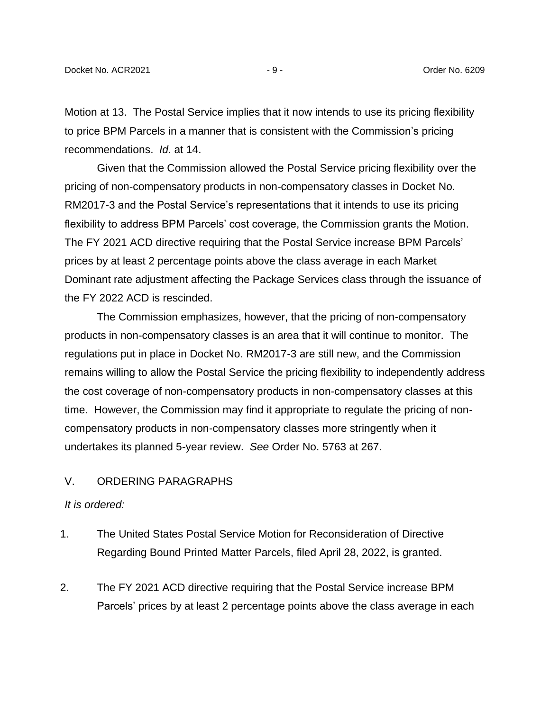Motion at 13. The Postal Service implies that it now intends to use its pricing flexibility to price BPM Parcels in a manner that is consistent with the Commission's pricing recommendations. *Id.* at 14.

Given that the Commission allowed the Postal Service pricing flexibility over the pricing of non-compensatory products in non-compensatory classes in Docket No. RM2017-3 and the Postal Service's representations that it intends to use its pricing flexibility to address BPM Parcels' cost coverage, the Commission grants the Motion. The FY 2021 ACD directive requiring that the Postal Service increase BPM Parcels' prices by at least 2 percentage points above the class average in each Market Dominant rate adjustment affecting the Package Services class through the issuance of the FY 2022 ACD is rescinded.

The Commission emphasizes, however, that the pricing of non-compensatory products in non-compensatory classes is an area that it will continue to monitor. The regulations put in place in Docket No. RM2017-3 are still new, and the Commission remains willing to allow the Postal Service the pricing flexibility to independently address the cost coverage of non-compensatory products in non-compensatory classes at this time. However, the Commission may find it appropriate to regulate the pricing of noncompensatory products in non-compensatory classes more stringently when it undertakes its planned 5-year review. *See* Order No. 5763 at 267.

## V. ORDERING PARAGRAPHS

### *It is ordered:*

- 1. The United States Postal Service Motion for Reconsideration of Directive Regarding Bound Printed Matter Parcels, filed April 28, 2022, is granted.
- 2. The FY 2021 ACD directive requiring that the Postal Service increase BPM Parcels' prices by at least 2 percentage points above the class average in each